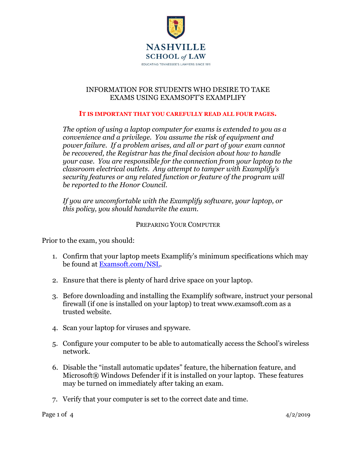

### INFORMATION FOR STUDENTS WHO DESIRE TO TAKE EXAMS USING EXAMSOFT'S EXAMPLIFY

#### **IT IS IMPORTANT THAT YOU CAREFULLY READ ALL FOUR PAGES.**

*The option of using a laptop computer for exams is extended to you as a convenience and a privilege. You assume the risk of equipment and power failure. If a problem arises, and all or part of your exam cannot be recovered, the Registrar has the final decision about how to handle your case. You are responsible for the connection from your laptop to the classroom electrical outlets. Any attempt to tamper with Examplify's security features or any related function or feature of the program will be reported to the Honor Council.*

*If you are uncomfortable with the Examplify software, your laptop, or this policy, you should handwrite the exam.*

### PREPARING YOUR COMPUTER

Prior to the exam, you should:

- 1. Confirm that your laptop meets Examplify's minimum specifications which may be found at [Examsoft.com/NSL.](http://examsoft.com/NSL)
- 2. Ensure that there is plenty of hard drive space on your laptop.
- 3. Before downloading and installing the Examplify software, instruct your personal firewall (if one is installed on your laptop) to treat www.examsoft.com as a trusted website.
- 4. Scan your laptop for viruses and spyware.
- 5. Configure your computer to be able to automatically access the School's wireless network.
- 6. Disable the "install automatic updates" feature, the hibernation feature, and Microsoft® Windows Defender if it is installed on your laptop. These features may be turned on immediately after taking an exam.
- 7. Verify that your computer is set to the correct date and time.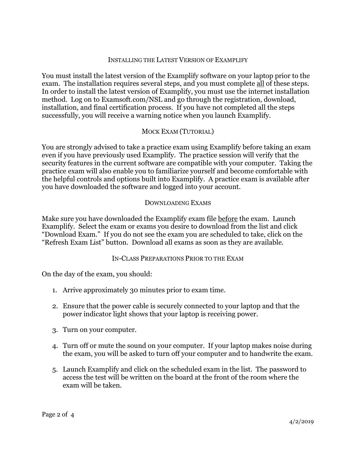#### INSTALLING THE LATEST VERSION OF EXAMPLIFY

You must install the latest version of the Examplify software on your laptop prior to the exam. The installation requires several steps, and you must complete all of these steps. In order to install the latest version of Examplify, you must use the internet installation method. Log on to Examsoft.com/NSL and go through the registration, download, installation, and final certification process. If you have not completed all the steps successfully, you will receive a warning notice when you launch Examplify.

# MOCK EXAM (TUTORIAL)

You are strongly advised to take a practice exam using Examplify before taking an exam even if you have previously used Examplify. The practice session will verify that the security features in the current software are compatible with your computer. Taking the practice exam will also enable you to familiarize yourself and become comfortable with the helpful controls and options built into Examplify. A practice exam is available after you have downloaded the software and logged into your account.

#### DOWNLOADING EXAMS

Make sure you have downloaded the Examplify exam file before the exam. Launch Examplify. Select the exam or exams you desire to download from the list and click "Download Exam." If you do not see the exam you are scheduled to take, click on the "Refresh Exam List" button. Download all exams as soon as they are available.

#### IN-CLASS PREPARATIONS PRIOR TO THE EXAM

On the day of the exam, you should:

- 1. Arrive approximately 30 minutes prior to exam time.
- 2. Ensure that the power cable is securely connected to your laptop and that the power indicator light shows that your laptop is receiving power.
- 3. Turn on your computer.
- 4. Turn off or mute the sound on your computer. If your laptop makes noise during the exam, you will be asked to turn off your computer and to handwrite the exam.
- 5. Launch Examplify and click on the scheduled exam in the list. The password to access the test will be written on the board at the front of the room where the exam will be taken.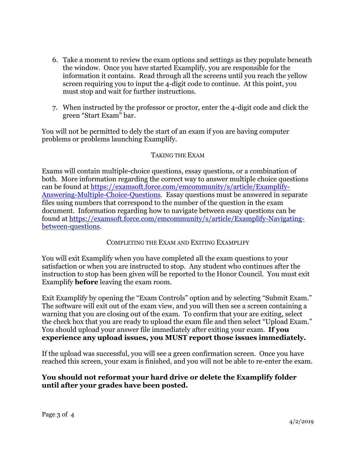- 6. Take a moment to review the exam options and settings as they populate beneath the window. Once you have started Examplify, you are responsible for the information it contains. Read through all the screens until you reach the yellow screen requiring you to input the 4-digit code to continue. At this point, you must stop and wait for further instructions.
- 7. When instructed by the professor or proctor, enter the 4-digit code and click the green "Start Exam" bar.

You will not be permitted to dely the start of an exam if you are having computer problems or problems launching Examplify.

# TAKING THE EXAM

Exams will contain multiple-choice questions, essay questions, or a combination of both. More information regarding the correct way to answer multiple choice questions can be found at [https://examsoft.force.com/emcommunity/s/article/Examplify-](https://examsoft.force.com/emcommunity/s/article/Examplify-Answering-Multiple-Choice-Questions)[Answering-Multiple-Choice-Questions.](https://examsoft.force.com/emcommunity/s/article/Examplify-Answering-Multiple-Choice-Questions) Essay questions must be answered in separate files using numbers that correspond to the number of the question in the exam document. Information regarding how to navigate between essay questions can be found at [https://examsoft.force.com/emcommunity/s/article/Examplify-Navigating](https://examsoft.force.com/emcommunity/s/article/Examplify-Navigating-between-questions)[between-questions.](https://examsoft.force.com/emcommunity/s/article/Examplify-Navigating-between-questions)

### COMPLETING THE EXAM AND EXITING EXAMPLIFY

You will exit Examplify when you have completed all the exam questions to your satisfaction or when you are instructed to stop. Any student who continues after the instruction to stop has been given will be reported to the Honor Council. You must exit Examplify **before** leaving the exam room.

Exit Examplify by opening the "Exam Controls" option and by selecting "Submit Exam." The software will exit out of the exam view, and you will then see a screen containing a warning that you are closing out of the exam. To confirm that your are exiting, select the check box that you are ready to upload the exam file and then select "Upload Exam." You should upload your answer file immediately after exiting your exam. **If you experience any upload issues, you MUST report those issues immediately.** 

If the upload was successful, you will see a green confirmation screen. Once you have reached this screen, your exam is finished, and you will not be able to re-enter the exam.

# **You should not reformat your hard drive or delete the Examplify folder until after your grades have been posted.**